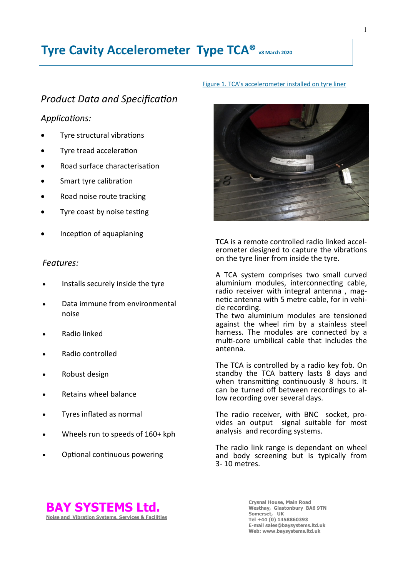# **Tyre Cavity Accelerometer Type TCA® v8 March 2020**

# *Product Data and Specification*

# *Applications:*

- Tyre structural vibrations
- Tyre tread acceleration
- Road surface characterisation
- Smart tyre calibration
- Road noise route tracking
- Tyre coast by noise testing
- Inception of aquaplaning

# *Features:*

- Installs securely inside the tyre
- Data immune from environmental noise
- Radio linked
- Radio controlled
- Robust design
- Retains wheel balance
- Tyres inflated as normal
- Wheels run to speeds of 160+ kph
- Optional continuous powering

#### Figure 1. TCA's accelerometer installed on tyre liner



TCA is a remote controlled radio linked accelerometer designed to capture the vibrations on the tyre liner from inside the tyre.

A TCA system comprises two small curved aluminium modules, interconnecting cable, radio receiver with integral antenna, magnetic antenna with 5 metre cable, for in vehicle recording.

The two aluminium modules are tensioned against the wheel rim by a stainless steel harness. The modules are connected by a multi-core umbilical cable that includes the antenna.

The TCA is controlled by a radio key fob. On standby the TCA battery lasts 8 days and when transmitting continuously 8 hours. It can be turned off between recordings to allow recording over several days.

The radio receiver, with BNC socket, provides an output signal suitable for most analysis and recording systems.

The radio link range is dependant on wheel and body screening but is typically from 3- 10 metres.



**Crysnal House, Main Road Westhay, Glastonbury BA6 9TN Somerset, UK Tel +44 (0) 1458860393 E-mail sales@baysystems.ltd.uk Web: www.baysystems.ltd.uk**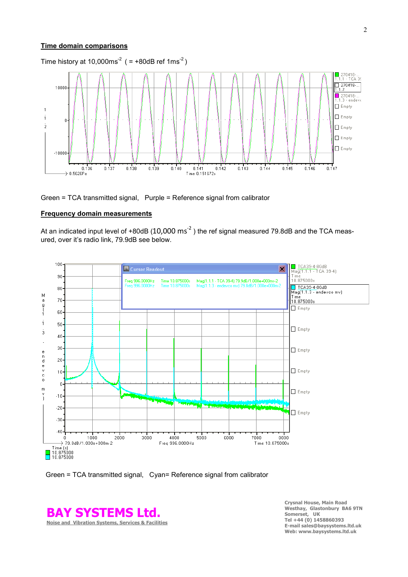#### **Time domain comparisons**



Green = TCA transmitted signal, Purple = Reference signal from calibrator

#### **Frequency domain measurements**

At an indicated input level of +80dB (10,000  $\text{ms}^2$  ) the ref signal measured 79.8dB and the TCA measured, over it's radio link, 79.9dB see below.





**BAY SYSTEMS Ltd. Noise and Vibration Systems, Services & Facilities**

**Crysnal House, Main Road Westhay, Glastonbury BA6 9TN Somerset, UK Tel +44 (0) 1458860393 E-mail sales@baysystems.ltd.uk Web: www.baysystems.ltd.uk**